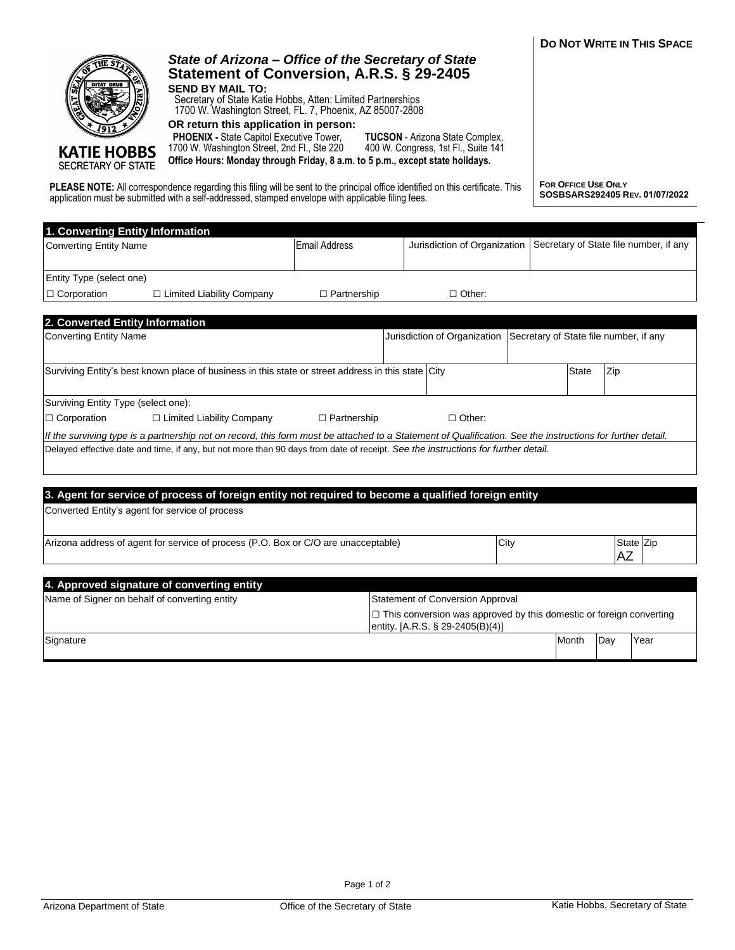| DO NOT WRITE IN THIS SPACE |
|----------------------------|
|                            |



**KATIE HOBBS** SECRETARY OF STATE

## *State of Arizona – Office of the Secretary of State* **Statement of Conversion, A.R.S. § 29-2405 SEND BY MAIL TO:**

Secretary of State Katie Hobbs, Atten: Limited Partnerships 1700 W. Washington Street, FL. 7, Phoenix, AZ 85007-2808

**OR return this application in person:**

 **PHOENIX -** State Capitol Executive Tower, 1700 W. Washington Street, 2nd Fl., Ste 220 **Office Hours: Monday through Friday, 8 a.m. to 5 p.m., except state holidays.**

**TUCSON** - Arizona State Complex, 400 W. Congress, 1st Fl., Suite 141

**PLEASE NOTE:** All correspondence regarding this filing will be sent to the principal office identified on this certificate. This application must be submitted with a self-addressed, stamped envelope with applicable filing fees.

**FOR OFFICE USE ONLY SOSBSARS292405 REV. 01/07/2022**

| 1. Converting Entity Information                                                                                                                           |                      |                                                                                                                |                              |                                        |              |           |                                        |
|------------------------------------------------------------------------------------------------------------------------------------------------------------|----------------------|----------------------------------------------------------------------------------------------------------------|------------------------------|----------------------------------------|--------------|-----------|----------------------------------------|
| <b>Converting Entity Name</b>                                                                                                                              | <b>Email Address</b> |                                                                                                                | Jurisdiction of Organization |                                        |              |           | Secretary of State file number, if any |
|                                                                                                                                                            |                      |                                                                                                                |                              |                                        |              |           |                                        |
| Entity Type (select one)                                                                                                                                   |                      |                                                                                                                |                              |                                        |              |           |                                        |
| $\Box$ Corporation<br>$\Box$ Limited Liability Company                                                                                                     | $\Box$ Partnership   |                                                                                                                | $\Box$ Other:                |                                        |              |           |                                        |
|                                                                                                                                                            |                      |                                                                                                                |                              |                                        |              |           |                                        |
| 2. Converted Entity Information                                                                                                                            |                      |                                                                                                                |                              |                                        |              |           |                                        |
| Converting Entity Name                                                                                                                                     |                      |                                                                                                                | Jurisdiction of Organization | Secretary of State file number, if any |              |           |                                        |
|                                                                                                                                                            |                      |                                                                                                                |                              |                                        |              |           |                                        |
| Surviving Entity's best known place of business in this state or street address in this state City                                                         |                      |                                                                                                                |                              |                                        | <b>State</b> | Zip       |                                        |
|                                                                                                                                                            |                      |                                                                                                                |                              |                                        |              |           |                                        |
| Surviving Entity Type (select one):                                                                                                                        |                      |                                                                                                                |                              |                                        |              |           |                                        |
| $\Box$ Corporation<br>$\Box$ Limited Liability Company                                                                                                     | $\Box$ Partnership   |                                                                                                                | $\Box$ Other:                |                                        |              |           |                                        |
| If the surviving type is a partnership not on record, this form must be attached to a Statement of Qualification. See the instructions for further detail. |                      |                                                                                                                |                              |                                        |              |           |                                        |
| Delayed effective date and time, if any, but not more than 90 days from date of receipt. See the instructions for further detail.                          |                      |                                                                                                                |                              |                                        |              |           |                                        |
|                                                                                                                                                            |                      |                                                                                                                |                              |                                        |              |           |                                        |
|                                                                                                                                                            |                      |                                                                                                                |                              |                                        |              |           |                                        |
| 3. Agent for service of process of foreign entity not required to become a qualified foreign entity                                                        |                      |                                                                                                                |                              |                                        |              |           |                                        |
| Converted Entity's agent for service of process                                                                                                            |                      |                                                                                                                |                              |                                        |              |           |                                        |
|                                                                                                                                                            |                      |                                                                                                                |                              |                                        |              |           |                                        |
| Arizona address of agent for service of process (P.O. Box or C/O are unacceptable)                                                                         |                      |                                                                                                                |                              | City                                   |              |           | State Zip                              |
|                                                                                                                                                            |                      |                                                                                                                |                              |                                        |              | <b>AZ</b> |                                        |
|                                                                                                                                                            |                      |                                                                                                                |                              |                                        |              |           |                                        |
| 4. Approved signature of converting entity                                                                                                                 |                      |                                                                                                                |                              |                                        |              |           |                                        |
| Name of Signer on behalf of converting entity<br><b>Statement of Conversion Approval</b>                                                                   |                      |                                                                                                                |                              |                                        |              |           |                                        |
|                                                                                                                                                            |                      | $\Box$ This conversion was approved by this domestic or foreign converting<br>entity. [A.R.S. § 29-2405(B)(4)] |                              |                                        |              |           |                                        |
| Signature                                                                                                                                                  |                      |                                                                                                                |                              |                                        | Month        | Day       | Year                                   |
|                                                                                                                                                            |                      |                                                                                                                |                              |                                        |              |           |                                        |